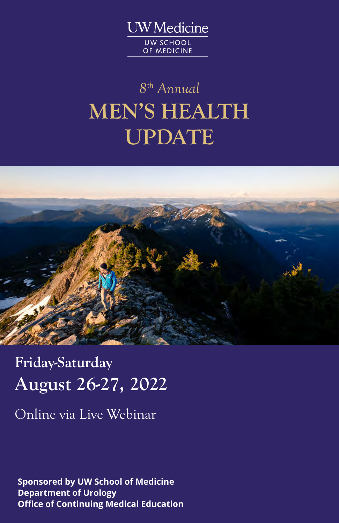**UW** Medicine UW SCHOOL OF MEDICINE

# *8 th Annual* **MEN'S HEALTH UPDATE**



**Friday-Saturday August 26-27, 2022**

Online via Live Webinar

**Sponsored by UW School of Medicine Department of Urology Office of Continuing Medical Education**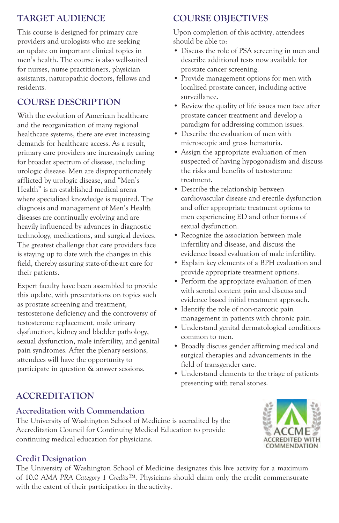### **TARGET AUDIENCE**

This course is designed for primary care providers and urologists who are seeking an update on important clinical topics in men's health. The course is also well-suited for nurses, nurse practitioners, physician assistants, naturopathic doctors, fellows and residents.

## **COURSE DESCRIPTION**

With the evolution of American healthcare and the reorganization of many regional healthcare systems, there are ever increasing demands for healthcare access. As a result, primary care providers are increasingly caring for broader spectrum of disease, including urologic disease. Men are disproportionately afflicted by urologic disease, and "Men's Health" is an established medical arena where specialized knowledge is required. The diagnosis and management of Men's Health diseases are continually evolving and are heavily influenced by advances in diagnostic technology, medications, and surgical devices. The greatest challenge that care providers face is staying up to date with the changes in this field, thereby assuring state-of-the-art care for their patients.

Expert faculty have been assembled to provide this update, with presentations on topics such as prostate screening and treatment, testosterone deficiency and the controversy of testosterone replacement, male urinary dysfunction, kidney and bladder pathology, sexual dysfunction, male infertility, and genital pain syndromes. After the plenary sessions, attendees will have the opportunity to participate in question & answer sessions.

### **COURSE OBJECTIVES**

Upon completion of this activity, attendees should be able to:

- Discuss the role of PSA screening in men and describe additional tests now available for prostate cancer screening.
- Provide management options for men with localized prostate cancer, including active surveillance.
- Review the quality of life issues men face after prostate cancer treatment and develop a paradigm for addressing common issues.
- Describe the evaluation of men with microscopic and gross hematuria.
- Assign the appropriate evaluation of men suspected of having hypogonadism and discuss the risks and benefits of testosterone treatment.
- Describe the relationship between cardiovascular disease and erectile dysfunction and offer appropriate treatment options to men experiencing ED and other forms of sexual dysfunction.
- Recognize the association between male infertility and disease, and discuss the evidence based evaluation of male infertility.
- Explain key elements of a BPH evaluation and provide appropriate treatment options.
- Perform the appropriate evaluation of men with scrotal content pain and discuss and evidence based initial treatment approach.
- Identify the role of non-narcotic pain management in patients with chronic pain.
- Understand genital dermatological conditions common to men.
- Broadly discuss gender affirming medical and surgical therapies and advancements in the field of transgender care.
- Understand elements to the triage of patients presenting with renal stones.

## **ACCREDITATION**

#### **Accreditation with Commendation**

The University of Washington School of Medicine is accredited by the Accreditation Council for Continuing Medical Education to provide continuing medical education for physicians.



#### **Credit Designation**

The University of Washington School of Medicine designates this live activity for a maximum of 10.0 *AMA PRA Category 1 Credits™*. Physicians should claim only the credit commensurate with the extent of their participation in the activity.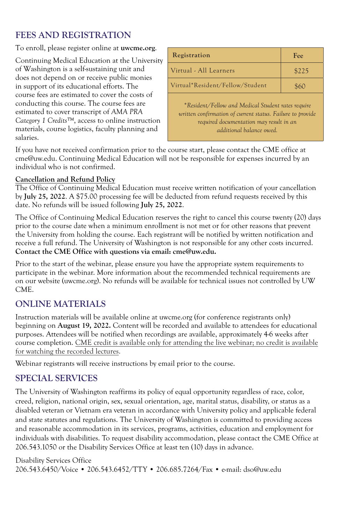## **FEES AND REGISTRATION**

To enroll, please register online at **uwcme.org**.

Continuing Medical Education at the University of Washington is a self-sustaining unit and does not depend on or receive public monies in support of its educational efforts. The course fees are estimated to cover the costs of conducting this course. The course fees are estimated to cover transcript of *AMA PRA Category 1 Credits™*, access to online instruction materials, course logistics, faculty planning and salaries.

| Registration                                                                                                                                                                            | Fee   |  |  |
|-----------------------------------------------------------------------------------------------------------------------------------------------------------------------------------------|-------|--|--|
| Virtual - All Learners                                                                                                                                                                  | \$225 |  |  |
| Virtual*Resident/Fellow/Student                                                                                                                                                         | \$60  |  |  |
| *Resident/Fellow and Medical Student rates require<br>written confirmation of current status. Failure to provide<br>required documentation may result in an<br>additional balance owed. |       |  |  |

If you have not received confirmation prior to the course start, please contact the CME office at cme@uw.edu. Continuing Medical Education will not be responsible for expenses incurred by an individual who is not confirmed.

#### **Cancellation and Refund Policy**

The Office of Continuing Medical Education must receive written notification of your cancellation by **July 25, 2022**. A \$75.00 processing fee will be deducted from refund requests received by this date. No refunds will be issued following **July 25, 2022**.

The Office of Continuing Medical Education reserves the right to cancel this course twenty (20) days prior to the course date when a minimum enrollment is not met or for other reasons that prevent the University from holding the course. Each registrant will be notified by written notification and receive a full refund. The University of Washington is not responsible for any other costs incurred. **Contact the CME Office with questions via email: cme@uw.edu.**

Prior to the start of the webinar, please ensure you have the appropriate system requirements to participate in the webinar. More information about the recommended technical requirements are on our website (uwcme.org). No refunds will be available for technical issues not controlled by UW CME.

#### **ONLINE MATERIALS**

Instruction materials will be available online at uwcme.org (for conference registrants only) beginning on **August 19, 2022.** Content will be recorded and available to attendees for educational purposes. Attendees will be notified when recordings are available, approximately 4-6 weeks after course completion. CME credit is available only for attending the live webinar; no credit is available for watching the recorded lectures.

Webinar registrants will receive instructions by email prior to the course.

#### **SPECIAL SERVICES**

The University of Washington reaffirms its policy of equal opportunity regardless of race, color, creed, religion, national origin, sex, sexual orientation, age, marital status, disability, or status as a disabled veteran or Vietnam era veteran in accordance with University policy and applicable federal and state statutes and regulations. The University of Washington is committed to providing access and reasonable accommodation in its services, programs, activities, education and employment for individuals with disabilities. To request disability accommodation, please contact the CME Office at 206.543.1050 or the Disability Services Office at least ten (10) days in advance.

Disability Services Office 206.543.6450/Voice • 206.543.6452/TTY • 206.685.7264/Fax • e-mail: dso@uw.edu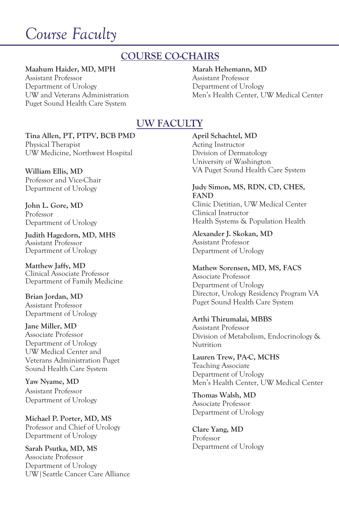## *Course Faculty*

## **COURSE CO-CHAIRS**

#### **Maahum Haider, MD, MPH**

Assistant Professor Department of Urology UW and Veterans Administration Puget Sound Health Care System

#### **Marah Hehemann, MD** Assistant Professor

Department of Urology Men's Health Center, UW Medical Center

#### **UW FACULTY**

**Tina Allen, PT, PTPV, BCB PMD** Physical Therapist UW Medicine, Northwest Hospital

**William Ellis, MD** Professor and Vice-Chair Department of Urology

**John L. Gore, MD**  Professor Department of Urology

**Judith Hagedorn, MD, MHS** Assistant Professor Department of Urology

**Matthew Jaffy, MD** Clinical Associate Professor Department of Family Medicine

**Brian Jordan, MD** Assistant Professor Department of Urology

**Jane Miller, MD**  Associate Professor Department of Urology UW Medical Center and Veterans Administration Puget Sound Health Care System

**Yaw Nyame, MD** Assistant Professor Department of Urology

**Michael P. Porter, MD, MS**  Professor and Chief of Urology Department of Urology

**Sarah Psutka, MD, MS** Associate Professor Department of Urology UW|Seattle Cancer Care Alliance **April Schachtel, MD**  Acting Instructor Division of Dermatology University of Washington VA Puget Sound Health Care System

**Judy Simon, MS, RDN, CD, CHES, FAND**  Clinic Dietitian, UW Medical Center Clinical Instructor Health Systems & Population Health

**Alexander J. Skokan, MD**  Assistant Professor Department of Urology

**Mathew Sorensen, MD, MS, FACS** 

Associate Professor Department of Urology Director, Urology Residency Program VA Puget Sound Health Care System

**Arthi Thirumalai, MBBS** 

Assistant Professor Division of Metabolism, Endocrinology & Nutrition

**Lauren Trew, PA-C, MCHS**  Teaching Associate Department of Urology Men's Health Center, UW Medical Center

**Thomas Walsh, MD**  Associate Professor Department of Urology

**Clare Yang, MD** Professor Department of Urology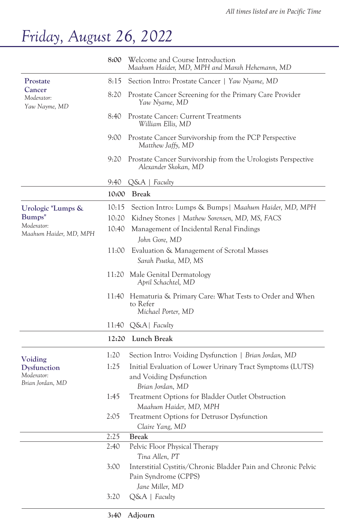## *Friday, August 26, 2022*

|                                       | 8:00  | Welcome and Course Introduction<br>Maahum Haider, MD, MPH and Marah Hehemann, MD                         |
|---------------------------------------|-------|----------------------------------------------------------------------------------------------------------|
| Prostate                              | 8:15  | Section Intro: Prostate Cancer   Yaw Nyame, MD                                                           |
| Cancer<br>Moderator:<br>Yaw Nayme, MD | 8:20  | Prostate Cancer Screening for the Primary Care Provider<br>Yaw Nyame, MD                                 |
|                                       | 8:40  | Prostate Cancer: Current Treatments<br>William Ellis, MD                                                 |
|                                       | 9:00  | Prostate Cancer Survivorship from the PCP Perspective<br>Matthew Jaffy, MD                               |
|                                       | 9:20  | Prostate Cancer Survivorship from the Urologists Perspective<br>Alexander Skokan, MD                     |
|                                       | 9:40  | $Q\&A \mid$ Faculty                                                                                      |
|                                       | 10:00 | <b>Break</b>                                                                                             |
| Urologic "Lumps &<br>Bumps"           | 10:15 | Section Intro: Lumps & Bumps   Maahum Haider, MD, MPH                                                    |
|                                       | 10:20 | Kidney Stones   Mathew Sorensen, MD, MS, FACS                                                            |
| Moderator:<br>Maahum Haider, MD, MPH  | 10:40 | Management of Incidental Renal Findings                                                                  |
|                                       |       | John Gore, MD                                                                                            |
|                                       | 11:00 | Evaluation & Management of Scrotal Masses<br>Sarah Psutka, MD, MS                                        |
|                                       | 11:20 | Male Genital Dermatology<br>April Schachtel, MD                                                          |
|                                       | 11:40 | Hematuria & Primary Care: What Tests to Order and When<br>to Refer<br>Michael Porter, MD                 |
|                                       | 11:40 | $Q\&A$ Faculty                                                                                           |
|                                       | 12:20 | Lunch Break                                                                                              |
| Voiding                               | 1:20  | Section Intro: Voiding Dysfunction   Brian Jordan, MD                                                    |
| Dysfunction                           | 1:25  | Initial Evaluation of Lower Urinary Tract Symptoms (LUTS)                                                |
| Moderator:                            |       | and Voiding Dysfunction                                                                                  |
| Brian Jordan, MD                      |       | Brian Jordan, MD                                                                                         |
|                                       | 1:45  | Treatment Options for Bladder Outlet Obstruction<br>Maahum Haider, MD, MPH                               |
|                                       | 2:05  | Treatment Options for Detrusor Dysfunction<br>Claire Yang, MD                                            |
|                                       | 2:25  | <b>Break</b>                                                                                             |
|                                       | 2:40  | Pelvic Floor Physical Therapy<br>Tina Allen, PT                                                          |
|                                       | 3:00  | Interstitial Cystitis/Chronic Bladder Pain and Chronic Pelvic<br>Pain Syndrome (CPPS)<br>Jane Miller, MD |
|                                       | 3:20  | $Q\&A \mid Faculty$                                                                                      |
|                                       |       |                                                                                                          |

#### **3:40 Adjourn**